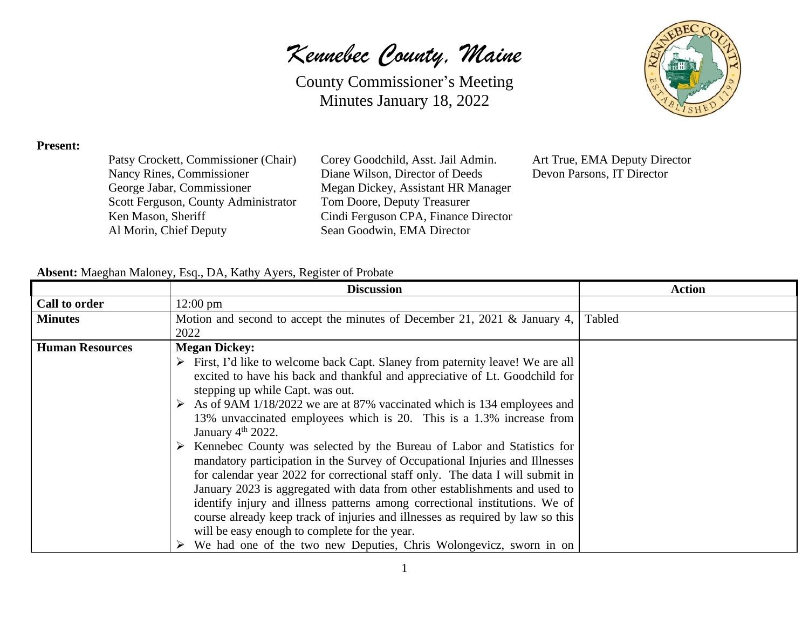*Kennebec County, Maine*

County Commissioner's Meeting Minutes January 18, 2022



#### **Present:**

| Patsy Crockett, Commissioner (Chair) |
|--------------------------------------|
| Nancy Rines, Commissioner            |
| George Jabar, Commissioner           |
| Scott Ferguson, County Administrator |
| Ken Mason, Sheriff                   |
| Al Morin, Chief Deputy               |
|                                      |

Corey Goodchild, Asst. Jail Admin. Art True, EMA Deputy Director Diane Wilson, Director of Deeds Devon Parsons, IT Director Megan Dickey, Assistant HR Manager Tom Doore, Deputy Treasurer Cindi Ferguson CPA, Finance Director Sean Goodwin, EMA Director

#### **Absent:** Maeghan Maloney, Esq., DA, Kathy Ayers, Register of Probate

|                        | <b>Discussion</b>                                                              | <b>Action</b> |
|------------------------|--------------------------------------------------------------------------------|---------------|
| Call to order          | $12:00 \text{ pm}$                                                             |               |
| <b>Minutes</b>         | Motion and second to accept the minutes of December 21, 2021 & January 4,      | Tabled        |
|                        | 2022                                                                           |               |
| <b>Human Resources</b> | <b>Megan Dickey:</b>                                                           |               |
|                        | First, I'd like to welcome back Capt. Slaney from paternity leave! We are all  |               |
|                        | excited to have his back and thankful and appreciative of Lt. Goodchild for    |               |
|                        | stepping up while Capt. was out.                                               |               |
|                        | As of 9AM 1/18/2022 we are at 87% vaccinated which is 134 employees and        |               |
|                        | 13% unvaccinated employees which is 20. This is a 1.3% increase from           |               |
|                        | January $4th 2022$ .                                                           |               |
|                        | Kennebec County was selected by the Bureau of Labor and Statistics for         |               |
|                        | mandatory participation in the Survey of Occupational Injuries and Illnesses   |               |
|                        | for calendar year 2022 for correctional staff only. The data I will submit in  |               |
|                        | January 2023 is aggregated with data from other establishments and used to     |               |
|                        | identify injury and illness patterns among correctional institutions. We of    |               |
|                        | course already keep track of injuries and illnesses as required by law so this |               |
|                        | will be easy enough to complete for the year.                                  |               |
|                        | We had one of the two new Deputies, Chris Wolongevicz, sworn in on             |               |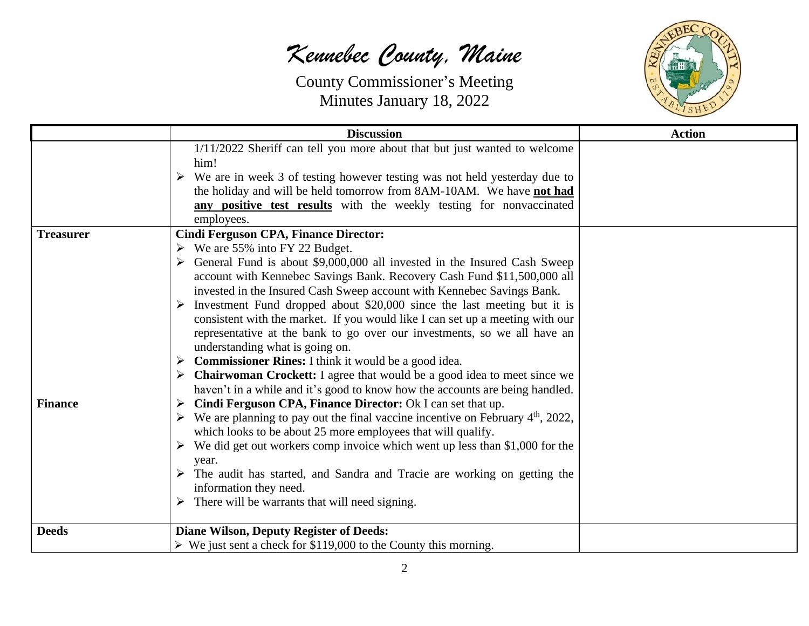

|                  | <b>Discussion</b>                                                                   | <b>Action</b> |
|------------------|-------------------------------------------------------------------------------------|---------------|
|                  | 1/11/2022 Sheriff can tell you more about that but just wanted to welcome<br>him!   |               |
|                  | We are in week 3 of testing however testing was not held yesterday due to<br>➤      |               |
|                  | the holiday and will be held tomorrow from 8AM-10AM. We have not had                |               |
|                  | any positive test results with the weekly testing for nonvaccinated                 |               |
|                  | employees.                                                                          |               |
| <b>Treasurer</b> | <b>Cindi Ferguson CPA, Finance Director:</b>                                        |               |
|                  | $\triangleright$ We are 55% into FY 22 Budget.                                      |               |
|                  | General Fund is about \$9,000,000 all invested in the Insured Cash Sweep            |               |
|                  | account with Kennebec Savings Bank. Recovery Cash Fund \$11,500,000 all             |               |
|                  | invested in the Insured Cash Sweep account with Kennebec Savings Bank.              |               |
|                  | Investment Fund dropped about \$20,000 since the last meeting but it is             |               |
|                  | consistent with the market. If you would like I can set up a meeting with our       |               |
|                  | representative at the bank to go over our investments, so we all have an            |               |
|                  | understanding what is going on.                                                     |               |
|                  | <b>Commissioner Rines:</b> I think it would be a good idea.<br>➤                    |               |
|                  | <b>Chairwoman Crockett:</b> I agree that would be a good idea to meet since we<br>➤ |               |
|                  | haven't in a while and it's good to know how the accounts are being handled.        |               |
| <b>Finance</b>   | Cindi Ferguson CPA, Finance Director: Ok I can set that up.<br>➤                    |               |
|                  | We are planning to pay out the final vaccine incentive on February $4th$ , 2022,    |               |
|                  | which looks to be about 25 more employees that will qualify.                        |               |
|                  | We did get out workers comp invoice which went up less than \$1,000 for the<br>➤    |               |
|                  | year.<br>The audit has started, and Sandra and Tracie are working on getting the    |               |
|                  | information they need.                                                              |               |
|                  | There will be warrants that will need signing.                                      |               |
|                  |                                                                                     |               |
| <b>Deeds</b>     | <b>Diane Wilson, Deputy Register of Deeds:</b>                                      |               |
|                  | $\triangleright$ We just sent a check for \$119,000 to the County this morning.     |               |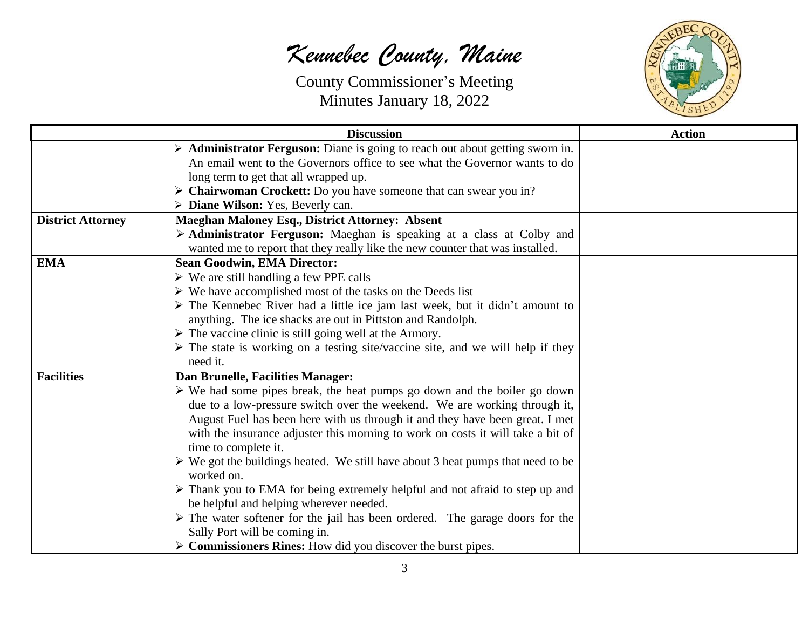

|                          | <b>Discussion</b>                                                                              | <b>Action</b> |
|--------------------------|------------------------------------------------------------------------------------------------|---------------|
|                          | Administrator Ferguson: Diane is going to reach out about getting sworn in.                    |               |
|                          | An email went to the Governors office to see what the Governor wants to do                     |               |
|                          | long term to get that all wrapped up.                                                          |               |
|                          | $\triangleright$ Chairwoman Crockett: Do you have someone that can swear you in?               |               |
|                          | $\triangleright$ Diane Wilson: Yes, Beverly can.                                               |               |
| <b>District Attorney</b> | <b>Maeghan Maloney Esq., District Attorney: Absent</b>                                         |               |
|                          | > Administrator Ferguson: Maeghan is speaking at a class at Colby and                          |               |
|                          | wanted me to report that they really like the new counter that was installed.                  |               |
| <b>EMA</b>               | <b>Sean Goodwin, EMA Director:</b>                                                             |               |
|                          | $\triangleright$ We are still handling a few PPE calls                                         |               |
|                          | $\triangleright$ We have accomplished most of the tasks on the Deeds list                      |               |
|                          | $\triangleright$ The Kennebec River had a little ice jam last week, but it didn't amount to    |               |
|                          | anything. The ice shacks are out in Pittston and Randolph.                                     |               |
|                          | $\triangleright$ The vaccine clinic is still going well at the Armory.                         |               |
|                          | $\triangleright$ The state is working on a testing site/vaccine site, and we will help if they |               |
|                          | need it.                                                                                       |               |
| <b>Facilities</b>        | Dan Brunelle, Facilities Manager:                                                              |               |
|                          | $\triangleright$ We had some pipes break, the heat pumps go down and the boiler go down        |               |
|                          | due to a low-pressure switch over the weekend. We are working through it,                      |               |
|                          | August Fuel has been here with us through it and they have been great. I met                   |               |
|                          | with the insurance adjuster this morning to work on costs it will take a bit of                |               |
|                          | time to complete it.                                                                           |               |
|                          | $\triangleright$ We got the buildings heated. We still have about 3 heat pumps that need to be |               |
|                          | worked on.                                                                                     |               |
|                          | $\triangleright$ Thank you to EMA for being extremely helpful and not afraid to step up and    |               |
|                          | be helpful and helping wherever needed.                                                        |               |
|                          | $\triangleright$ The water softener for the jail has been ordered. The garage doors for the    |               |
|                          | Sally Port will be coming in.                                                                  |               |
|                          | $\triangleright$ Commissioners Rines: How did you discover the burst pipes.                    |               |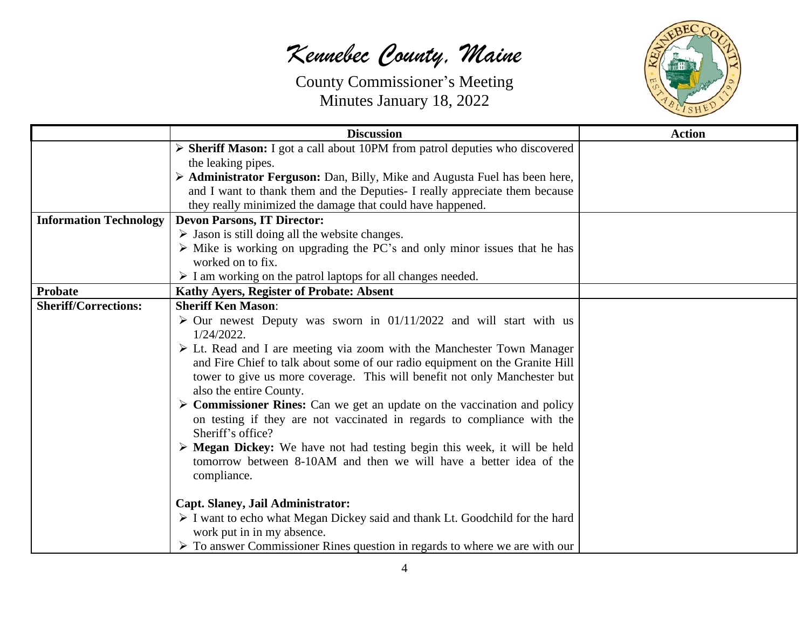

|                               | <b>Discussion</b>                                                                                                         | <b>Action</b> |
|-------------------------------|---------------------------------------------------------------------------------------------------------------------------|---------------|
|                               | > Sheriff Mason: I got a call about 10PM from patrol deputies who discovered                                              |               |
|                               | the leaking pipes.                                                                                                        |               |
|                               | > Administrator Ferguson: Dan, Billy, Mike and Augusta Fuel has been here,                                                |               |
|                               | and I want to thank them and the Deputies- I really appreciate them because                                               |               |
|                               | they really minimized the damage that could have happened.                                                                |               |
| <b>Information Technology</b> | <b>Devon Parsons, IT Director:</b>                                                                                        |               |
|                               | $\triangleright$ Jason is still doing all the website changes.                                                            |               |
|                               | $\triangleright$ Mike is working on upgrading the PC's and only minor issues that he has                                  |               |
|                               | worked on to fix.                                                                                                         |               |
|                               | $\triangleright$ I am working on the patrol laptops for all changes needed.                                               |               |
| <b>Probate</b>                | Kathy Ayers, Register of Probate: Absent                                                                                  |               |
| <b>Sheriff/Corrections:</b>   | <b>Sheriff Ken Mason:</b>                                                                                                 |               |
|                               | $\geq$ Our newest Deputy was sworn in 01/11/2022 and will start with us                                                   |               |
|                               | $1/24/2022$ .                                                                                                             |               |
|                               | $\triangleright$ Lt. Read and I are meeting via zoom with the Manchester Town Manager                                     |               |
|                               | and Fire Chief to talk about some of our radio equipment on the Granite Hill                                              |               |
|                               | tower to give us more coverage. This will benefit not only Manchester but                                                 |               |
|                               | also the entire County.                                                                                                   |               |
|                               | $\triangleright$ Commissioner Rines: Can we get an update on the vaccination and policy                                   |               |
|                               | on testing if they are not vaccinated in regards to compliance with the<br>Sheriff's office?                              |               |
|                               | > Megan Dickey: We have not had testing begin this week, it will be held                                                  |               |
|                               | tomorrow between 8-10AM and then we will have a better idea of the                                                        |               |
|                               | compliance.                                                                                                               |               |
|                               |                                                                                                                           |               |
|                               | <b>Capt. Slaney, Jail Administrator:</b>                                                                                  |               |
|                               | $\triangleright$ I want to echo what Megan Dickey said and thank Lt. Goodchild for the hard<br>work put in in my absence. |               |
|                               | $\triangleright$ To answer Commissioner Rines question in regards to where we are with our                                |               |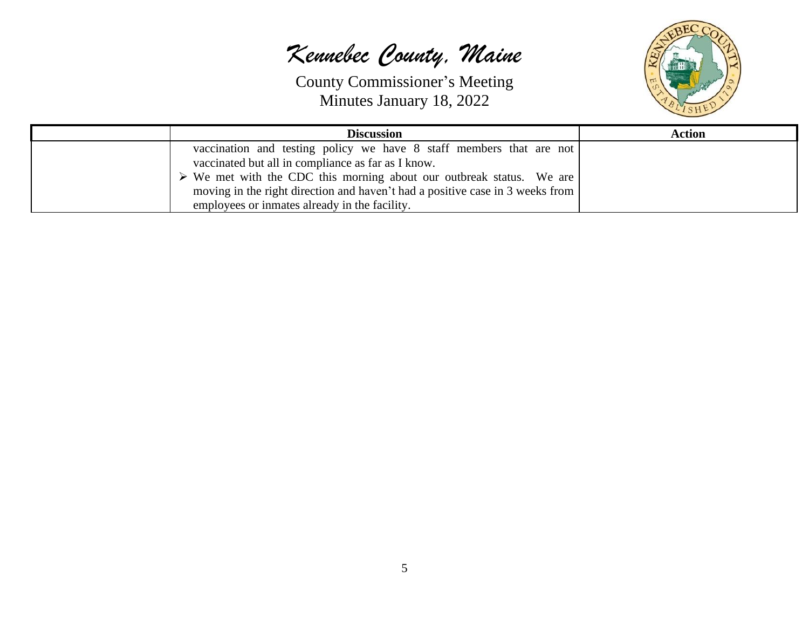

| <b>Discussion</b>                                                                   | <b>Action</b> |
|-------------------------------------------------------------------------------------|---------------|
| vaccination and testing policy we have 8 staff members that are not                 |               |
| vaccinated but all in compliance as far as I know.                                  |               |
| $\triangleright$ We met with the CDC this morning about our outbreak status. We are |               |
| moving in the right direction and haven't had a positive case in 3 weeks from       |               |
| employees or inmates already in the facility.                                       |               |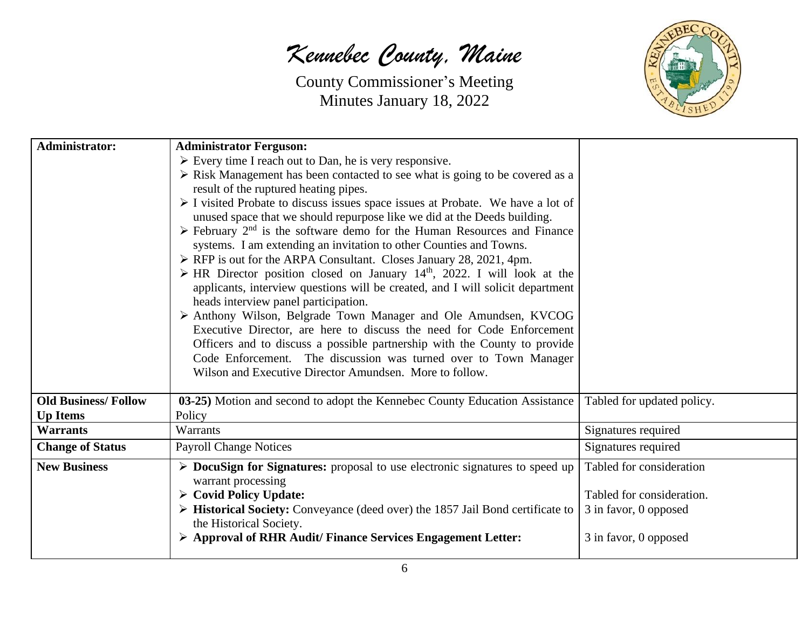

| <b>Administrator:</b>      | <b>Administrator Ferguson:</b>                                                                      |                            |
|----------------------------|-----------------------------------------------------------------------------------------------------|----------------------------|
|                            | $\triangleright$ Every time I reach out to Dan, he is very responsive.                              |                            |
|                            | > Risk Management has been contacted to see what is going to be covered as a                        |                            |
|                            | result of the ruptured heating pipes.                                                               |                            |
|                            | $\triangleright$ I visited Probate to discuss issues space issues at Probate. We have a lot of      |                            |
|                            | unused space that we should repurpose like we did at the Deeds building.                            |                            |
|                            | $\triangleright$ February 2 <sup>nd</sup> is the software demo for the Human Resources and Finance  |                            |
|                            | systems. I am extending an invitation to other Counties and Towns.                                  |                            |
|                            | > RFP is out for the ARPA Consultant. Closes January 28, 2021, 4pm.                                 |                            |
|                            | $\triangleright$ HR Director position closed on January 14 <sup>th</sup> , 2022. I will look at the |                            |
|                            | applicants, interview questions will be created, and I will solicit department                      |                            |
|                            | heads interview panel participation.                                                                |                            |
|                            | > Anthony Wilson, Belgrade Town Manager and Ole Amundsen, KVCOG                                     |                            |
|                            | Executive Director, are here to discuss the need for Code Enforcement                               |                            |
|                            | Officers and to discuss a possible partnership with the County to provide                           |                            |
|                            | Code Enforcement. The discussion was turned over to Town Manager                                    |                            |
|                            | Wilson and Executive Director Amundsen. More to follow.                                             |                            |
| <b>Old Business/Follow</b> | 03-25) Motion and second to adopt the Kennebec County Education Assistance                          | Tabled for updated policy. |
| <b>Up Items</b>            | Policy                                                                                              |                            |
| <b>Warrants</b>            | Warrants                                                                                            | Signatures required        |
| <b>Change of Status</b>    | <b>Payroll Change Notices</b>                                                                       | Signatures required        |
| <b>New Business</b>        | $\triangleright$ DocuSign for Signatures: proposal to use electronic signatures to speed up         | Tabled for consideration   |
|                            | warrant processing                                                                                  |                            |
|                            | $\triangleright$ Covid Policy Update:                                                               | Tabled for consideration.  |
|                            | $\triangleright$ Historical Society: Conveyance (deed over) the 1857 Jail Bond certificate to       | 3 in favor, 0 opposed      |
|                            | the Historical Society.                                                                             |                            |
|                            | > Approval of RHR Audit/ Finance Services Engagement Letter:                                        | 3 in favor, 0 opposed      |
|                            |                                                                                                     |                            |